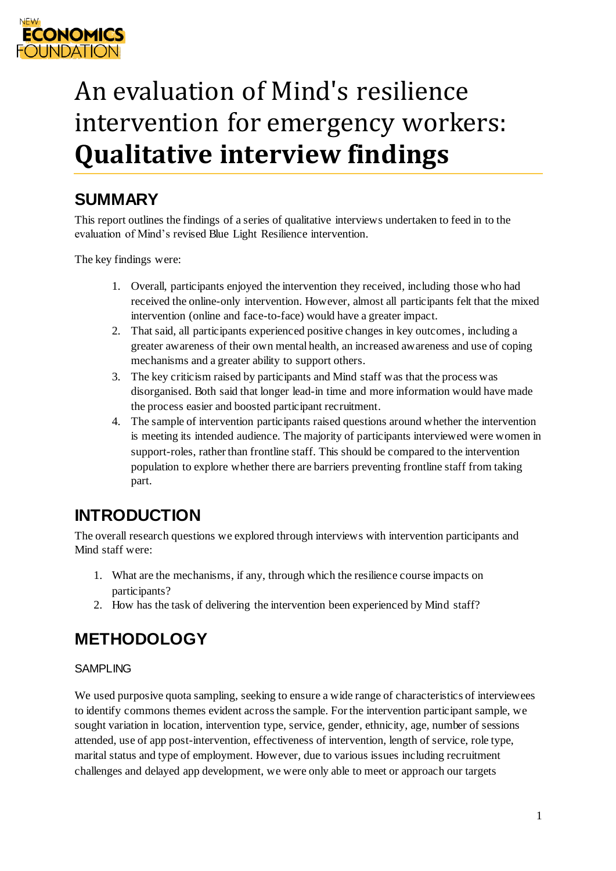

# An evaluation of Mind's resilience intervention for emergency workers: **Qualitative interview findings**

# **SUMMARY**

This report outlines the findings of a series of qualitative interviews undertaken to feed in to the evaluation of Mind's revised Blue Light Resilience intervention.

The key findings were:

- 1. Overall, participants enjoyed the intervention they received, including those who had received the online-only intervention. However, almost all participants felt that the mixed intervention (online and face-to-face) would have a greater impact.
- 2. That said, all participants experienced positive changes in key outcomes, including a greater awareness of their own mental health, an increased awareness and use of coping mechanisms and a greater ability to support others.
- 3. The key criticism raised by participants and Mind staff was that the process was disorganised. Both said that longer lead-in time and more information would have made the process easier and boosted participant recruitment.
- 4. The sample of intervention participants raised questions around whether the intervention is meeting its intended audience. The majority of participants interviewed were women in support-roles, rather than frontline staff. This should be compared to the intervention population to explore whether there are barriers preventing frontline staff from taking part.

# **INTRODUCTION**

The overall research questions we explored through interviews with intervention participants and Mind staff were:

- 1. What are the mechanisms, if any, through which the resilience course impacts on participants?
- 2. How has the task of delivering the intervention been experienced by Mind staff?

# **METHODOLOGY**

# SAMPLING

We used purposive quota sampling, seeking to ensure a wide range of characteristics of interviewees to identify commons themes evident across the sample. For the intervention participant sample, we sought variation in location, intervention type, service, gender, ethnicity, age, number of sessions attended, use of app post-intervention, effectiveness of intervention, length of service, role type, marital status and type of employment. However, due to various issues including recruitment challenges and delayed app development, we were only able to meet or approach our targets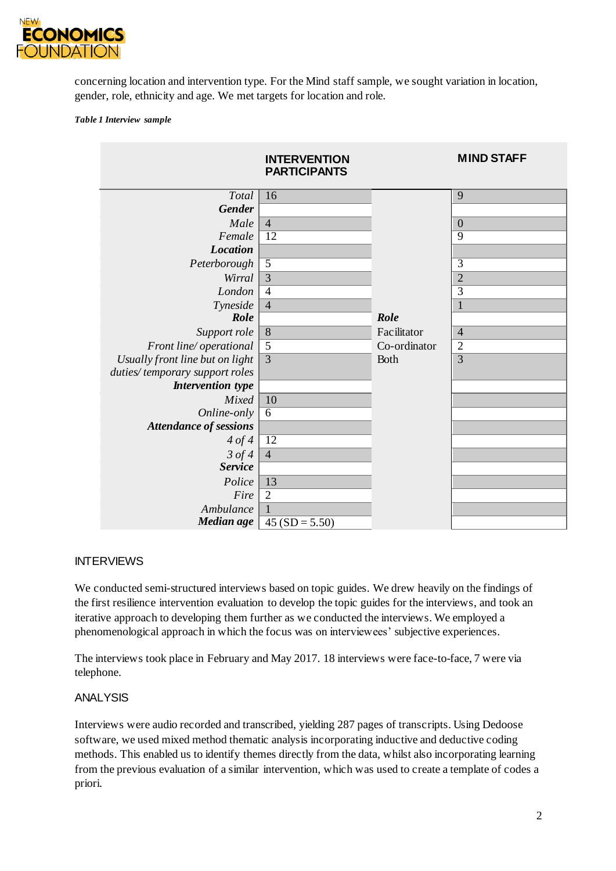

concerning location and intervention type. For the Mind staff sample, we sought variation in location, gender, role, ethnicity and age. We met targets for location and role.

#### *Table 1 Interview sample*

|                                              | <b>INTERVENTION</b><br><b>PARTICIPANTS</b> |              | <b>MIND STAFF</b> |
|----------------------------------------------|--------------------------------------------|--------------|-------------------|
| Total                                        | 16                                         |              | 9                 |
| <b>Gender</b>                                |                                            |              |                   |
| Male                                         | $\overline{4}$                             |              | $\boldsymbol{0}$  |
| Female                                       | $\overline{12}$                            |              | $\overline{9}$    |
| <b>Location</b>                              |                                            |              |                   |
| Peterborough                                 | $\overline{5}$                             |              | $\overline{3}$    |
| Wirral                                       | $\overline{3}$                             |              | $\overline{2}$    |
| London                                       | $\overline{4}$                             |              | $\overline{3}$    |
| Tyneside                                     | $\overline{4}$                             |              | $\mathbf{1}$      |
| Role                                         |                                            | Role         |                   |
| Support role                                 | $\overline{8}$                             | Facilitator  | $\overline{4}$    |
| Front line/ operational                      | $\overline{5}$                             | Co-ordinator | $\overline{c}$    |
| Usually front line but on light              | $\overline{3}$                             | Both         | $\overline{3}$    |
| duties/temporary support roles               |                                            |              |                   |
| <b>Intervention type</b>                     |                                            |              |                   |
| Mixed                                        | 10<br>$\overline{6}$                       |              |                   |
| Online-only<br><b>Attendance of sessions</b> |                                            |              |                   |
| 4 of 4                                       | 12                                         |              |                   |
| $3$ of $4$                                   | $\overline{4}$                             |              |                   |
| <b>Service</b>                               |                                            |              |                   |
| Police                                       | 13                                         |              |                   |
| Fire                                         | $\overline{2}$                             |              |                   |
| Ambulance                                    |                                            |              |                   |
| Median age                                   | $45 (SD = 5.50)$                           |              |                   |

#### INTERVIEWS

We conducted semi-structured interviews based on topic guides. We drew heavily on the findings of the first resilience intervention evaluation to develop the topic guides for the interviews, and took an iterative approach to developing them further as we conducted the interviews. We employed a phenomenological approach in which the focus was on interviewees' subjective experiences.

The interviews took place in February and May 2017. 18 interviews were face-to-face, 7 were via telephone.

#### ANALYSIS

Interviews were audio recorded and transcribed, yielding 287 pages of transcripts. Using Dedoose software, we used mixed method thematic analysis incorporating inductive and deductive coding methods. This enabled us to identify themes directly from the data, whilst also incorporating learning from the previous evaluation of a similar intervention, which was used to create a template of codes a priori.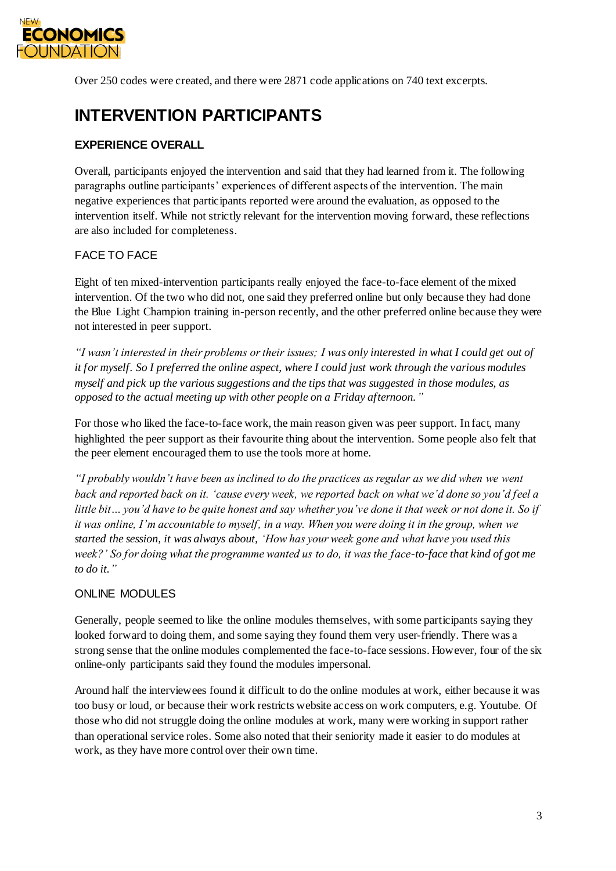

Over 250 codes were created, and there were 2871 code applications on 740 text excerpts.

# **INTERVENTION PARTICIPANTS**

# **EXPERIENCE OVERALL**

Overall, participants enjoyed the intervention and said that they had learned from it. The following paragraphs outline participants' experiences of different aspects of the intervention. The main negative experiences that participants reported were around the evaluation, as opposed to the intervention itself. While not strictly relevant for the intervention moving forward, these reflections are also included for completeness.

# FACE TO FACE

Eight of ten mixed-intervention participants really enjoyed the face-to-face element of the mixed intervention. Of the two who did not, one said they preferred online but only because they had done the Blue Light Champion training in-person recently, and the other preferred online because they were not interested in peer support.

*"I wasn't interested in their problems or their issues; I was only interested in what I could get out of it for myself. So I preferred the online aspect, where I could just work through the various modules myself and pick up the various suggestions and the tips that was suggested in those modules, as opposed to the actual meeting up with other people on a Friday afternoon."*

For those who liked the face-to-face work, the main reason given was peer support. In fact, many highlighted the peer support as their favourite thing about the intervention. Some people also felt that the peer element encouraged them to use the tools more at home.

*"I probably wouldn't have been as inclined to do the practices as regular as we did when we went back and reported back on it. 'cause every week, we reported back on what we'd done so you'd feel a little bit… you'd have to be quite honest and say whether you've done it that week or not done it. So if it was online, I'm accountable to myself, in a way. When you were doing it in the group, when we started the session, it was always about, 'How has your week gone and what have you used this week?' So for doing what the programme wanted us to do, it was the face-to-face that kind of got me to do it."*

# ONLINE MODULES

Generally, people seemed to like the online modules themselves, with some participants saying they looked forward to doing them, and some saying they found them very user-friendly. There was a strong sense that the online modules complemented the face-to-face sessions. However, four of the six online-only participants said they found the modules impersonal.

Around half the interviewees found it difficult to do the online modules at work, either because it was too busy or loud, or because their work restricts website access on work computers, e.g. Youtube. Of those who did not struggle doing the online modules at work, many were working in support rather than operational service roles. Some also noted that their seniority made it easier to do modules at work, as they have more control over their own time.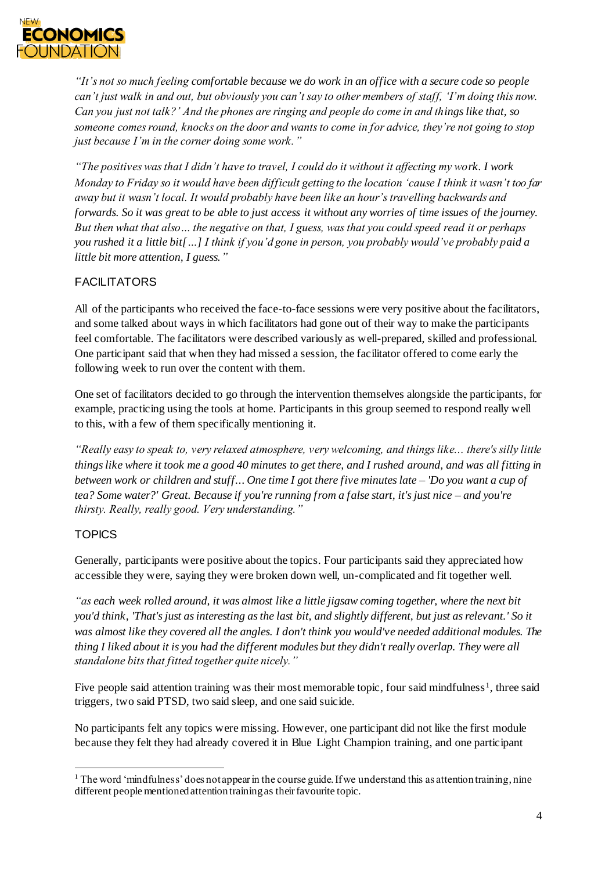

*"It's not so much feeling comfortable because we do work in an office with a secure code so people can't just walk in and out, but obviously you can't say to other members of staff, 'I'm doing this now. Can you just not talk?' And the phones are ringing and people do come in and things like that, so someone comes round, knocks on the door and wants to come in for advice, they're not going to stop just because I'm in the corner doing some work."*

*"The positives was that I didn't have to travel, I could do it without it affecting my work. I work Monday to Friday so it would have been difficult getting to the location 'cause I think it wasn't too far away but it wasn't local. It would probably have been like an hour's travelling backwards and forwards. So it was great to be able to just access it without any worries of time issues of the journey. But then what that also… the negative on that, I guess, was that you could speed read it or perhaps you rushed it a little bit[…] I think if you'd gone in person, you probably would've probably paid a little bit more attention, I guess."*

# **FACILITATORS**

All of the participants who received the face-to-face sessions were very positive about the facilitators, and some talked about ways in which facilitators had gone out of their way to make the participants feel comfortable. The facilitators were described variously as well-prepared, skilled and professional. One participant said that when they had missed a session, the facilitator offered to come early the following week to run over the content with them.

One set of facilitators decided to go through the intervention themselves alongside the participants, for example, practicing using the tools at home. Participants in this group seemed to respond really well to this, with a few of them specifically mentioning it.

*"Really easy to speak to, very relaxed atmosphere, very welcoming, and things like... there's silly little things like where it took me a good 40 minutes to get there, and I rushed around, and was all fitting in between work or children and stuff... One time I got there five minutes late – 'Do you want a cup of tea? Some water?' Great. Because if you're running from a false start, it's just nice – and you're thirsty. Really, really good. Very understanding."*

# **TOPICS**

l

Generally, participants were positive about the topics. Four participants said they appreciated how accessible they were, saying they were broken down well, un-complicated and fit together well.

*"as each week rolled around, it was almost like a little jigsaw coming together, where the next bit you'd think, 'That's just as interesting as the last bit, and slightly different, but just as relevant.' So it was almost like they covered all the angles. I don't think you would've needed additional modules. The thing I liked about it is you had the different modules but they didn't really overlap. They were all standalone bits that fitted together quite nicely."*

Five people said attention training was their most memorable topic, four said mindfulness<sup>1</sup>, three said triggers, two said PTSD, two said sleep, and one said suicide.

No participants felt any topics were missing. However, one participant did not like the first module because they felt they had already covered it in Blue Light Champion training, and one participant

<sup>&</sup>lt;sup>1</sup> The word 'mindfulness' does not appear in the course guide. If we understand this as attention training, nine different people mentioned attention training as their favourite topic.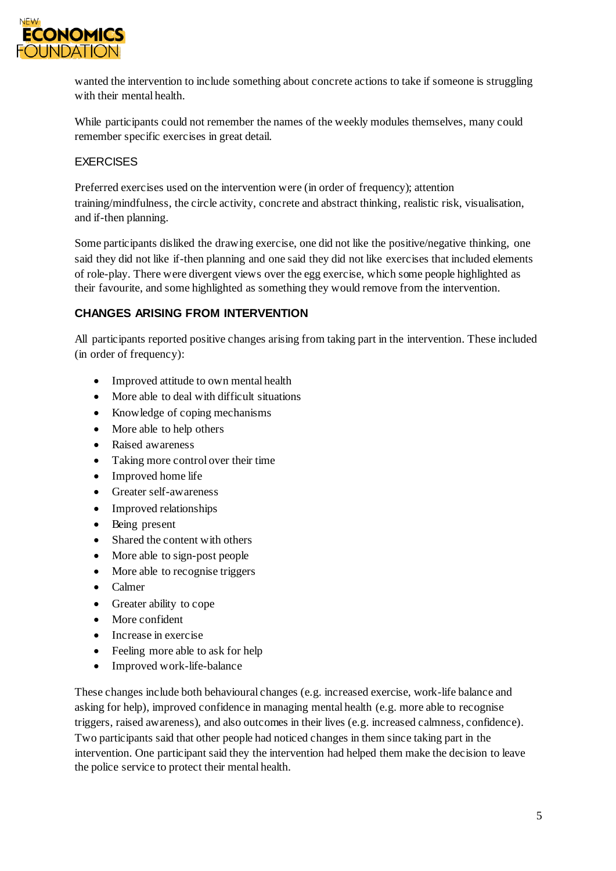

wanted the intervention to include something about concrete actions to take if someone is struggling with their mental health.

While participants could not remember the names of the weekly modules themselves, many could remember specific exercises in great detail.

#### EXERCISES

Preferred exercises used on the intervention were (in order of frequency); attention training/mindfulness, the circle activity, concrete and abstract thinking, realistic risk, visualisation, and if-then planning.

Some participants disliked the drawing exercise, one did not like the positive/negative thinking, one said they did not like if-then planning and one said they did not like exercises that included elements of role-play. There were divergent views over the egg exercise, which some people highlighted as their favourite, and some highlighted as something they would remove from the intervention.

# **CHANGES ARISING FROM INTERVENTION**

All participants reported positive changes arising from taking part in the intervention. These included (in order of frequency):

- Improved attitude to own mental health
- More able to deal with difficult situations
- Knowledge of coping mechanisms
- More able to help others
- Raised awareness
- Taking more control over their time
- Improved home life
- Greater self-awareness
- Improved relationships
- Being present
- Shared the content with others
- More able to sign-post people
- More able to recognise triggers
- Calmer
- Greater ability to cope
- More confident
- Increase in exercise
- Feeling more able to ask for help
- Improved work-life-balance

These changes include both behavioural changes (e.g. increased exercise, work-life balance and asking for help), improved confidence in managing mental health (e.g. more able to recognise triggers, raised awareness), and also outcomes in their lives (e.g. increased calmness, confidence). Two participants said that other people had noticed changes in them since taking part in the intervention. One participant said they the intervention had helped them make the decision to leave the police service to protect their mental health.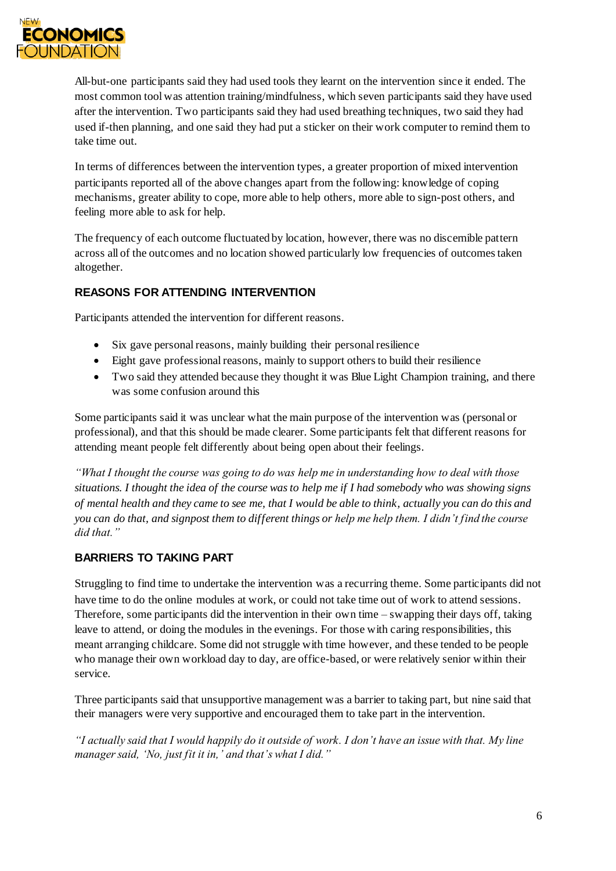

All-but-one participants said they had used tools they learnt on the intervention since it ended. The most common tool was attention training/mindfulness, which seven participants said they have used after the intervention. Two participants said they had used breathing techniques, two said they had used if-then planning, and one said they had put a sticker on their work computer to remind them to take time out.

In terms of differences between the intervention types, a greater proportion of mixed intervention participants reported all of the above changes apart from the following: knowledge of coping mechanisms, greater ability to cope, more able to help others, more able to sign-post others, and feeling more able to ask for help.

The frequency of each outcome fluctuated by location, however, there was no discernible pattern across all of the outcomes and no location showed particularly low frequencies of outcomes taken altogether.

# **REASONS FOR ATTENDING INTERVENTION**

Participants attended the intervention for different reasons.

- Six gave personal reasons, mainly building their personal resilience
- Eight gave professional reasons, mainly to support others to build their resilience
- Two said they attended because they thought it was Blue Light Champion training, and there was some confusion around this

Some participants said it was unclear what the main purpose of the intervention was (personal or professional), and that this should be made clearer. Some participants felt that different reasons for attending meant people felt differently about being open about their feelings.

*"What I thought the course was going to do was help me in understanding how to deal with those situations. I thought the idea of the course was to help me if I had somebody who was showing signs of mental health and they came to see me, that I would be able to think, actually you can do this and you can do that, and signpost them to different things or help me help them. I didn't find the course did that."*

# **BARRIERS TO TAKING PART**

Struggling to find time to undertake the intervention was a recurring theme. Some participants did not have time to do the online modules at work, or could not take time out of work to attend sessions. Therefore, some participants did the intervention in their own time – swapping their days off, taking leave to attend, or doing the modules in the evenings. For those with caring responsibilities, this meant arranging childcare. Some did not struggle with time however, and these tended to be people who manage their own workload day to day, are office-based, or were relatively senior within their service.

Three participants said that unsupportive management was a barrier to taking part, but nine said that their managers were very supportive and encouraged them to take part in the intervention.

*"I actually said that I would happily do it outside of work. I don't have an issue with that. My line manager said, 'No, just fit it in,' and that's what I did."*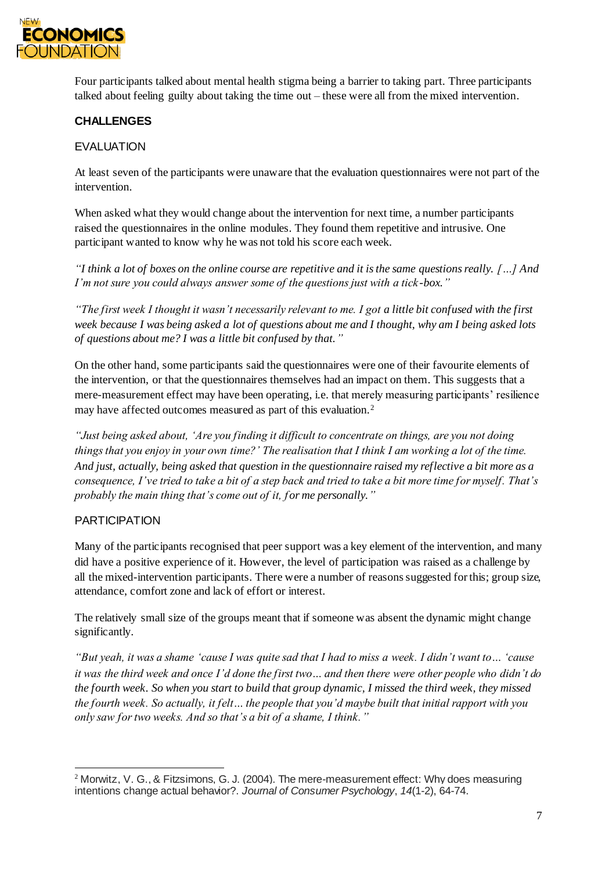

Four participants talked about mental health stigma being a barrier to taking part. Three participants talked about feeling guilty about taking the time out – these were all from the mixed intervention.

# **CHALLENGES**

### EVALUATION

At least seven of the participants were unaware that the evaluation questionnaires were not part of the intervention.

When asked what they would change about the intervention for next time, a number participants raised the questionnaires in the online modules. They found them repetitive and intrusive. One participant wanted to know why he was not told his score each week.

*"I think a lot of boxes on the online course are repetitive and it is the same questions really. […] And I'm not sure you could always answer some of the questions just with a tick -box."*

*"The first week I thought it wasn't necessarily relevant to me. I got a little bit confused with the first week because I was being asked a lot of questions about me and I thought, why am I being asked lots of questions about me? I was a little bit confused by that."*

On the other hand, some participants said the questionnaires were one of their favourite elements of the intervention, or that the questionnaires themselves had an impact on them. This suggests that a mere-measurement effect may have been operating, i.e. that merely measuring participants' resilience may have affected outcomes measured as part of this evaluation.<sup>2</sup>

*"Just being asked about, 'Are you finding it difficult to concentrate on things, are you not doing things that you enjoy in your own time?' The realisation that I think I am working a lot of the time. And just, actually, being asked that question in the questionnaire raised my reflective a bit more as a consequence, I've tried to take a bit of a step back and tried to take a bit more time for myself. That's probably the main thing that's come out of it, for me personally."*

#### **PARTICIPATION**

Many of the participants recognised that peer support was a key element of the intervention, and many did have a positive experience of it. However, the level of participation was raised as a challenge by all the mixed-intervention participants. There were a number of reasons suggested for this; group size, attendance, comfort zone and lack of effort or interest.

The relatively small size of the groups meant that if someone was absent the dynamic might change significantly.

*"But yeah, it was a shame 'cause I was quite sad that I had to miss a week. I didn't want to… 'cause it was the third week and once I'd done the first two… and then there were other people who didn't do the fourth week. So when you start to build that group dynamic, I missed the third week, they missed the fourth week. So actually, it felt… the people that you'd maybe built that initial rapport with you only saw for two weeks. And so that's a bit of a shame, I think."*

l <sup>2</sup> Morwitz, V. G., & Fitzsimons, G. J. (2004). The mere-measurement effect: Why does measuring intentions change actual behavior?. *Journal of Consumer Psychology*, *14*(1-2), 64-74.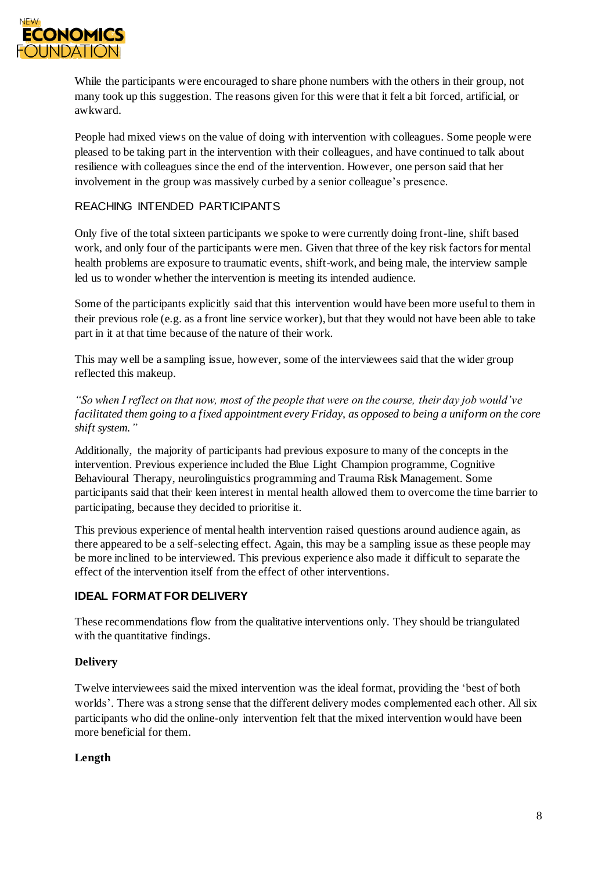

While the participants were encouraged to share phone numbers with the others in their group, not many took up this suggestion. The reasons given for this were that it felt a bit forced, artificial, or awkward.

People had mixed views on the value of doing with intervention with colleagues. Some people were pleased to be taking part in the intervention with their colleagues, and have continued to talk about resilience with colleagues since the end of the intervention. However, one person said that her involvement in the group was massively curbed by a senior colleague's presence.

#### REACHING INTENDED PARTICIPANTS

Only five of the total sixteen participants we spoke to were currently doing front-line, shift based work, and only four of the participants were men. Given that three of the key risk factors for mental health problems are exposure to traumatic events, shift-work, and being male, the interview sample led us to wonder whether the intervention is meeting its intended audience.

Some of the participants explicitly said that this intervention would have been more useful to them in their previous role (e.g. as a front line service worker), but that they would not have been able to take part in it at that time because of the nature of their work.

This may well be a sampling issue, however, some of the interviewees said that the wider group reflected this makeup.

*"So when I reflect on that now, most of the people that were on the course, their day job would've facilitated them going to a fixed appointment every Friday, as opposed to being a uniform on the core shift system."*

Additionally, the majority of participants had previous exposure to many of the concepts in the intervention. Previous experience included the Blue Light Champion programme, Cognitive Behavioural Therapy, neurolinguistics programming and Trauma Risk Management. Some participants said that their keen interest in mental health allowed them to overcome the time barrier to participating, because they decided to prioritise it.

This previous experience of mental health intervention raised questions around audience again, as there appeared to be a self-selecting effect. Again, this may be a sampling issue as these people may be more inclined to be interviewed. This previous experience also made it difficult to separate the effect of the intervention itself from the effect of other interventions.

# **IDEAL FORMAT FOR DELIVERY**

These recommendations flow from the qualitative interventions only. They should be triangulated with the quantitative findings.

#### **Delivery**

Twelve interviewees said the mixed intervention was the ideal format, providing the 'best of both worlds'. There was a strong sense that the different delivery modes complemented each other. All six participants who did the online-only intervention felt that the mixed intervention would have been more beneficial for them.

#### **Length**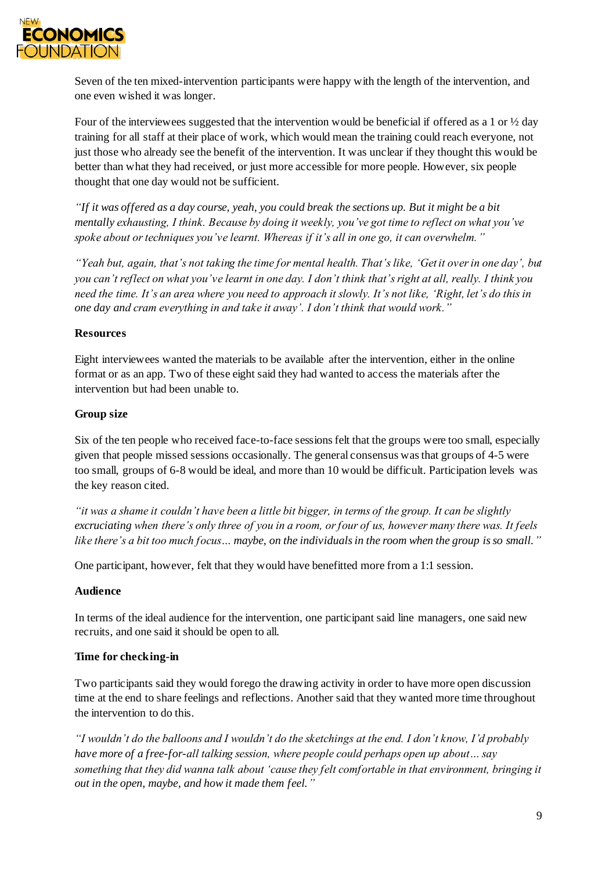

Seven of the ten mixed-intervention participants were happy with the length of the intervention, and one even wished it was longer.

Four of the interviewees suggested that the intervention would be beneficial if offered as a 1 or ½ day training for all staff at their place of work, which would mean the training could reach everyone, not just those who already see the benefit of the intervention. It was unclear if they thought this would be better than what they had received, or just more accessible for more people. However, six people thought that one day would not be sufficient.

*"If it was offered as a day course, yeah, you could break the sections up. But it might be a bit mentally exhausting, I think. Because by doing it weekly, you've got time to reflect on what you've spoke about or techniques you've learnt. Whereas if it's all in one go, it can overwhelm."*

*"Yeah but, again, that's not taking the time for mental health. That's like, 'Get it over in one day', but you can't reflect on what you've learnt in one day. I don't think that's right at all, really. I think you need the time. It's an area where you need to approach it slowly. It's not like, 'Right, let's do this in one day and cram everything in and take it away'. I don't think that would work."*

#### **Resources**

Eight interviewees wanted the materials to be available after the intervention, either in the online format or as an app. Two of these eight said they had wanted to access the materials after the intervention but had been unable to.

#### **Group size**

Six of the ten people who received face-to-face sessions felt that the groups were too small, especially given that people missed sessions occasionally. The general consensus was that groups of 4-5 were too small, groups of 6-8 would be ideal, and more than 10 would be difficult. Participation levels was the key reason cited.

*"it was a shame it couldn't have been a little bit bigger, in terms of the group. It can be slightly excruciating when there's only three of you in a room, or four of us, however many there was. It feels like there's a bit too much focus… maybe, on the individuals in the room when the group is so small."*

One participant, however, felt that they would have benefitted more from a 1:1 session.

#### **Audience**

In terms of the ideal audience for the intervention, one participant said line managers, one said new recruits, and one said it should be open to all.

#### **Time for checking-in**

Two participants said they would forego the drawing activity in order to have more open discussion time at the end to share feelings and reflections. Another said that they wanted more time throughout the intervention to do this.

*"I wouldn't do the balloons and I wouldn't do the sketchings at the end. I don't know, I'd probably have more of a free-for-all talking session, where people could perhaps open up about… say something that they did wanna talk about 'cause they felt comfortable in that environment, bringing it out in the open, maybe, and how it made them feel."*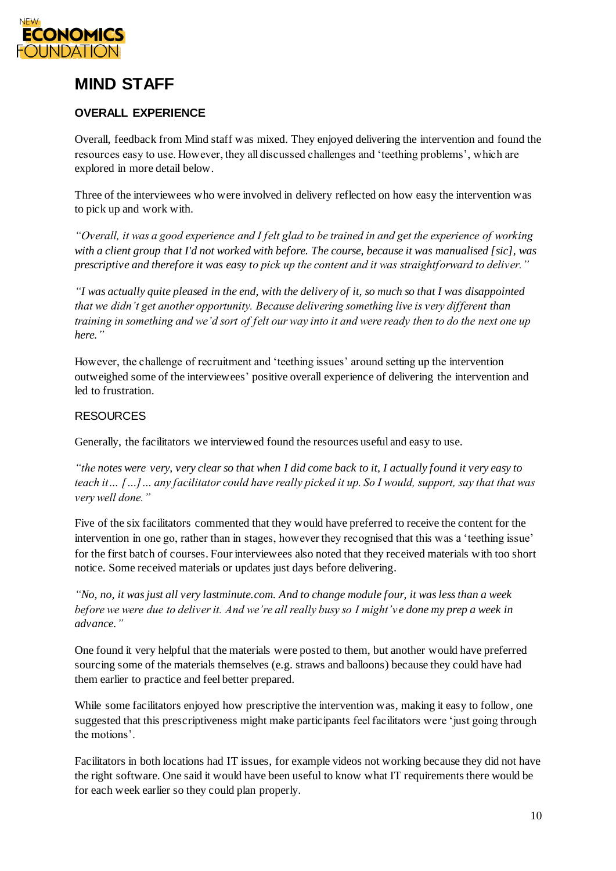

# **MIND STAFF**

# **OVERALL EXPERIENCE**

Overall, feedback from Mind staff was mixed. They enjoyed delivering the intervention and found the resources easy to use. However, they all discussed challenges and 'teething problems', which are explored in more detail below.

Three of the interviewees who were involved in delivery reflected on how easy the intervention was to pick up and work with.

*"Overall, it was a good experience and I felt glad to be trained in and get the experience of working with a client group that I'd not worked with before. The course, because it was manualised [sic], was prescriptive and therefore it was easy to pick up the content and it was straightforward to deliver."*

*"I was actually quite pleased in the end, with the delivery of it, so much so that I was disappointed that we didn't get another opportunity. Because delivering something live is very different than training in something and we'd sort of felt our way into it and were ready then to do the next one up here."*

However, the challenge of recruitment and 'teething issues' around setting up the intervention outweighed some of the interviewees' positive overall experience of delivering the intervention and led to frustration.

#### **RESOURCES**

Generally, the facilitators we interviewed found the resources useful and easy to use.

*"the notes were very, very clear so that when I did come back to it, I actually found it very easy to teach it… […]… any facilitator could have really picked it up. So I would, support, say that that was very well done."*

Five of the six facilitators commented that they would have preferred to receive the content for the intervention in one go, rather than in stages, however they recognised that this was a 'teething issue' for the first batch of courses. Four interviewees also noted that they received materials with too short notice. Some received materials or updates just days before delivering.

*"No, no, it was just all very lastminute.com. And to change module four, it was less than a week before we were due to deliver it. And we're all really busy so I might've done my prep a week in advance."*

One found it very helpful that the materials were posted to them, but another would have preferred sourcing some of the materials themselves (e.g. straws and balloons) because they could have had them earlier to practice and feel better prepared.

While some facilitators enjoyed how prescriptive the intervention was, making it easy to follow, one suggested that this prescriptiveness might make participants feel facilitators were 'just going through the motions'.

Facilitators in both locations had IT issues, for example videos not working because they did not have the right software. One said it would have been useful to know what IT requirements there would be for each week earlier so they could plan properly.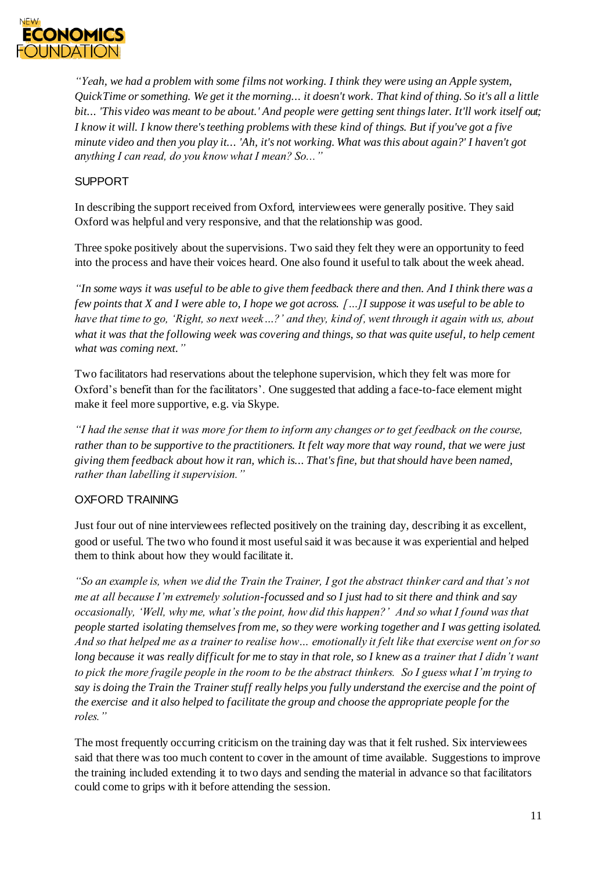

*"Yeah, we had a problem with some films not working. I think they were using an Apple system, QuickTime or something. We get it the morning... it doesn't work. That kind of thing. So it's all a little bit... 'This video was meant to be about.' And people were getting sent things later. It'll work itself out; I know it will. I know there's teething problems with these kind of things. But if you've got a five minute video and then you play it... 'Ah, it's not working. What was this about again?' I haven't got anything I can read, do you know what I mean? So..."*

### SUPPORT

In describing the support received from Oxford, interviewees were generally positive. They said Oxford was helpful and very responsive, and that the relationship was good.

Three spoke positively about the supervisions. Two said they felt they were an opportunity to feed into the process and have their voices heard. One also found it useful to talk about the week ahead.

*"In some ways it was useful to be able to give them feedback there and then. And I think there was a few points that X and I were able to, I hope we got across. […]I suppose it was useful to be able to have that time to go, 'Right, so next week…?' and they, kind of, went through it again with us, about what it was that the following week was covering and things, so that was quite useful, to help cement what was coming next."*

Two facilitators had reservations about the telephone supervision, which they felt was more for Oxford's benefit than for the facilitators'. One suggested that adding a face-to-face element might make it feel more supportive, e.g. via Skype.

*"I had the sense that it was more for them to inform any changes or to get feedback on the course, rather than to be supportive to the practitioners. It felt way more that way round, that we were just giving them feedback about how it ran, which is... That's fine, but that should have been named, rather than labelling it supervision."*

#### OXFORD TRAINING

Just four out of nine interviewees reflected positively on the training day, describing it as excellent, good or useful. The two who found it most useful said it was because it was experiential and helped them to think about how they would facilitate it.

*"So an example is, when we did the Train the Trainer, I got the abstract thinker card and that's not me at all because I'm extremely solution-focussed and so I just had to sit there and think and say occasionally, 'Well, why me, what's the point, how did this happen?' And so what I found was that people started isolating themselves from me, so they were working together and I was getting isolated. And so that helped me as a trainer to realise how… emotionally it felt like that exercise went on for so long because it was really difficult for me to stay in that role, so I knew as a trainer that I didn't want to pick the more fragile people in the room to be the abstract thinkers. So I guess what I'm trying to say is doing the Train the Trainer stuff really helps you fully understand the exercise and the point of the exercise and it also helped to facilitate the group and choose the appropriate people for the roles."* 

The most frequently occurring criticism on the training day was that it felt rushed. Six interviewees said that there was too much content to cover in the amount of time available. Suggestions to improve the training included extending it to two days and sending the material in advance so that facilitators could come to grips with it before attending the session.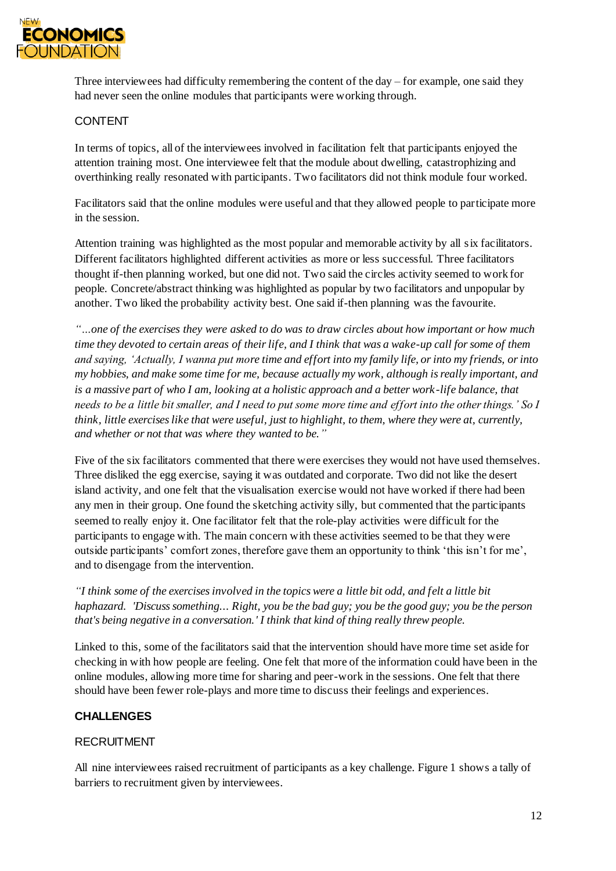

Three interviewees had difficulty remembering the content of the day – for example, one said they had never seen the online modules that participants were working through.

#### CONTENT

In terms of topics, all of the interviewees involved in facilitation felt that participants enjoyed the attention training most. One interviewee felt that the module about dwelling, catastrophizing and overthinking really resonated with participants. Two facilitators did not think module four worked.

Facilitators said that the online modules were useful and that they allowed people to participate more in the session.

Attention training was highlighted as the most popular and memorable activity by all six facilitators. Different facilitators highlighted different activities as more or less successful. Three facilitators thought if-then planning worked, but one did not. Two said the circles activity seemed to work for people. Concrete/abstract thinking was highlighted as popular by two facilitators and unpopular by another. Two liked the probability activity best. One said if-then planning was the favourite.

*"…one of the exercises they were asked to do was to draw circles about how important or how much time they devoted to certain areas of their life, and I think that was a wake-up call for some of them and saying, 'Actually, I wanna put more time and effort into my family life, or into my friends, or into my hobbies, and make some time for me, because actually my work, although is really important, and is a massive part of who I am, looking at a holistic approach and a better work -life balance, that needs to be a little bit smaller, and I need to put some more time and effort into the other things.' So I think, little exercises like that were useful, just to highlight, to them, where they were at, currently, and whether or not that was where they wanted to be."*

Five of the six facilitators commented that there were exercises they would not have used themselves. Three disliked the egg exercise, saying it was outdated and corporate. Two did not like the desert island activity, and one felt that the visualisation exercise would not have worked if there had been any men in their group. One found the sketching activity silly, but commented that the participants seemed to really enjoy it. One facilitator felt that the role-play activities were difficult for the participants to engage with. The main concern with these activities seemed to be that they were outside participants' comfort zones, therefore gave them an opportunity to think 'this isn't for me', and to disengage from the intervention.

*"I think some of the exercises involved in the topics were a little bit odd, and felt a little bit haphazard. 'Discuss something... Right, you be the bad guy; you be the good guy; you be the person that's being negative in a conversation.' I think that kind of thing really threw people.*

Linked to this, some of the facilitators said that the intervention should have more time set aside for checking in with how people are feeling. One felt that more of the information could have been in the online modules, allowing more time for sharing and peer-work in the sessions. One felt that there should have been fewer role-plays and more time to discuss their feelings and experiences.

#### **CHALLENGES**

#### **RECRUITMENT**

All nine interviewees raised recruitment of participants as a key challenge. Figure 1 shows a tally of barriers to recruitment given by interviewees.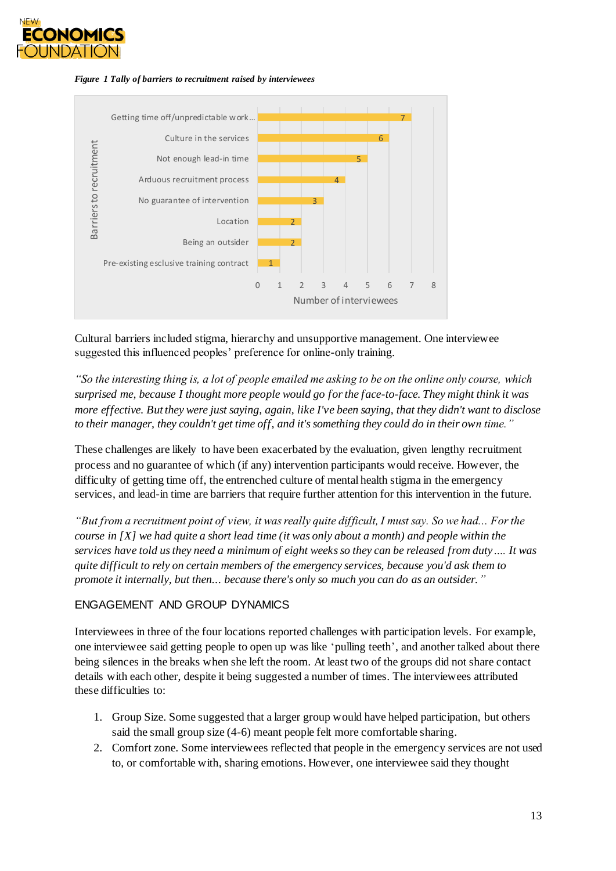





Cultural barriers included stigma, hierarchy and unsupportive management. One interviewee suggested this influenced peoples' preference for online-only training.

*"So the interesting thing is, a lot of people emailed me asking to be on the online only course, which surprised me, because I thought more people would go for the face-to-face. They might think it was more effective. But they were just saying, again, like I've been saying, that they didn't want to disclose to their manager, they couldn't get time off, and it's something they could do in their own time."*

These challenges are likely to have been exacerbated by the evaluation, given lengthy recruitment process and no guarantee of which (if any) intervention participants would receive. However, the difficulty of getting time off, the entrenched culture of mental health stigma in the emergency services, and lead-in time are barriers that require further attention for this intervention in the future.

*"But from a recruitment point of view, it was really quite difficult, I must say. So we had... For the course in [X] we had quite a short lead time (it was only about a month) and people within the services have told us they need a minimum of eight weeks so they can be released from duty…. It was quite difficult to rely on certain members of the emergency services, because you'd ask them to promote it internally, but then... because there's only so much you can do as an outsider."*

#### ENGAGEMENT AND GROUP DYNAMICS

Interviewees in three of the four locations reported challenges with participation levels. For example, one interviewee said getting people to open up was like 'pulling teeth', and another talked about there being silences in the breaks when she left the room. At least two of the groups did not share contact details with each other, despite it being suggested a number of times. The interviewees attributed these difficulties to:

- 1. Group Size. Some suggested that a larger group would have helped participation, but others said the small group size (4-6) meant people felt more comfortable sharing.
- 2. Comfort zone. Some interviewees reflected that people in the emergency services are not used to, or comfortable with, sharing emotions. However, one interviewee said they thought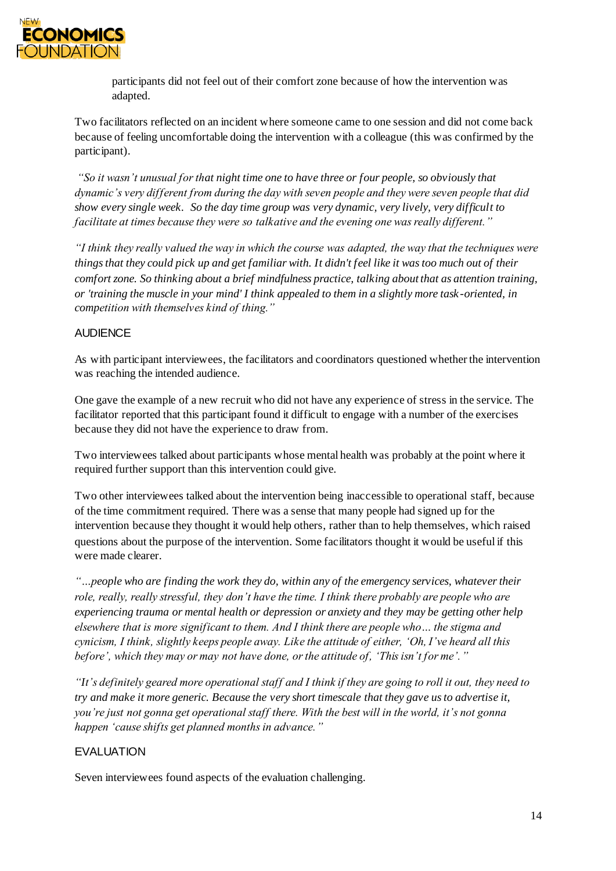

participants did not feel out of their comfort zone because of how the intervention was adapted.

Two facilitators reflected on an incident where someone came to one session and did not come back because of feeling uncomfortable doing the intervention with a colleague (this was confirmed by the participant).

*"So it wasn't unusual for that night time one to have three or four people, so obviously that dynamic's very different from during the day with seven people and they were seven people that did show every single week. So the day time group was very dynamic, very lively, very difficult to facilitate at times because they were so talkative and the evening one was really different."*

*"I think they really valued the way in which the course was adapted, the way that the techniques were things that they could pick up and get familiar with. It didn't feel like it was too much out of their comfort zone. So thinking about a brief mindfulness practice, talking about that as attention training, or 'training the muscle in your mind' I think appealed to them in a slightly more task -oriented, in competition with themselves kind of thing."*

#### AUDIENCE

As with participant interviewees, the facilitators and coordinators questioned whether the intervention was reaching the intended audience.

One gave the example of a new recruit who did not have any experience of stress in the service. The facilitator reported that this participant found it difficult to engage with a number of the exercises because they did not have the experience to draw from.

Two interviewees talked about participants whose mental health was probably at the point where it required further support than this intervention could give.

Two other interviewees talked about the intervention being inaccessible to operational staff, because of the time commitment required. There was a sense that many people had signed up for the intervention because they thought it would help others, rather than to help themselves, which raised questions about the purpose of the intervention. Some facilitators thought it would be useful if this were made clearer.

*"…people who are finding the work they do, within any of the emergency services, whatever their role, really, really stressful, they don't have the time. I think there probably are people who are experiencing trauma or mental health or depression or anxiety and they may be getting other help elsewhere that is more significant to them. And I think there are people who… the stigma and cynicism, I think, slightly keeps people away. Like the attitude of either, 'Oh, I've heard all this before', which they may or may not have done, or the attitude of, 'This isn't for me'."*

*"It's definitely geared more operational staff and I think if they are going to roll it out, they need to try and make it more generic. Because the very short timescale that they gave us to advertise it, you're just not gonna get operational staff there. With the best will in the world, it's not gonna happen 'cause shifts get planned months in advance."*

# EVALUATION

Seven interviewees found aspects of the evaluation challenging.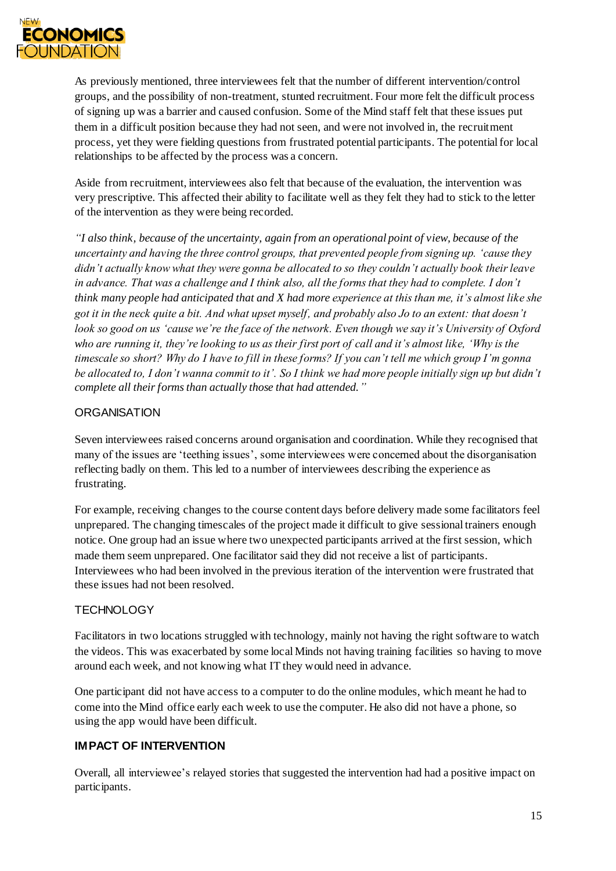

As previously mentioned, three interviewees felt that the number of different intervention/control groups, and the possibility of non-treatment, stunted recruitment. Four more felt the difficult process of signing up was a barrier and caused confusion. Some of the Mind staff felt that these issues put them in a difficult position because they had not seen, and were not involved in, the recruitment process, yet they were fielding questions from frustrated potential participants. The potential for local relationships to be affected by the process was a concern.

Aside from recruitment, interviewees also felt that because of the evaluation, the intervention was very prescriptive. This affected their ability to facilitate well as they felt they had to stick to the letter of the intervention as they were being recorded.

*"I also think, because of the uncertainty, again from an operational point of view, because of the uncertainty and having the three control groups, that prevented people from signing up. 'cause they didn't actually know what they were gonna be allocated to so they couldn't actually book their leave in advance. That was a challenge and I think also, all the forms that they had to complete. I don't think many people had anticipated that and X had more experience at this than me, it's almost like she got it in the neck quite a bit. And what upset myself, and probably also Jo to an extent: that doesn't look so good on us 'cause we're the face of the network. Even though we say it's University of Oxford who are running it, they're looking to us as their first port of call and it's almost like, 'Why is the timescale so short? Why do I have to fill in these forms? If you can't tell me which group I'm gonna be allocated to, I don't wanna commit to it'. So I think we had more people initially sign up but didn't complete all their forms than actually those that had attended."*

#### **ORGANISATION**

Seven interviewees raised concerns around organisation and coordination. While they recognised that many of the issues are 'teething issues', some interviewees were concerned about the disorganisation reflecting badly on them. This led to a number of interviewees describing the experience as frustrating.

For example, receiving changes to the course content days before delivery made some facilitators feel unprepared. The changing timescales of the project made it difficult to give sessional trainers enough notice. One group had an issue where two unexpected participants arrived at the first session, which made them seem unprepared. One facilitator said they did not receive a list of participants. Interviewees who had been involved in the previous iteration of the intervention were frustrated that these issues had not been resolved.

# **TECHNOLOGY**

Facilitators in two locations struggled with technology, mainly not having the right software to watch the videos. This was exacerbated by some local Minds not having training facilities so having to move around each week, and not knowing what IT they would need in advance.

One participant did not have access to a computer to do the online modules, which meant he had to come into the Mind office early each week to use the computer. He also did not have a phone, so using the app would have been difficult.

# **IMPACT OF INTERVENTION**

Overall, all interviewee's relayed stories that suggested the intervention had had a positive impact on participants.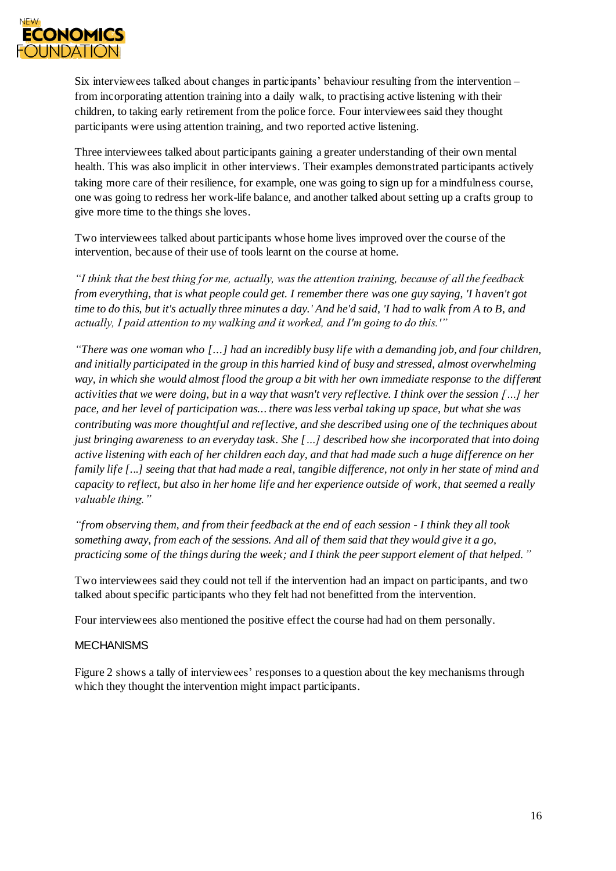

Six interviewees talked about changes in participants' behaviour resulting from the intervention – from incorporating attention training into a daily walk, to practising active listening with their children, to taking early retirement from the police force. Four interviewees said they thought participants were using attention training, and two reported active listening.

Three interviewees talked about participants gaining a greater understanding of their own mental health. This was also implicit in other interviews. Their examples demonstrated participants actively taking more care of their resilience, for example, one was going to sign up for a mindfulness course, one was going to redress her work-life balance, and another talked about setting up a crafts group to give more time to the things she loves.

Two interviewees talked about participants whose home lives improved over the course of the intervention, because of their use of tools learnt on the course at home.

*"I think that the best thing for me, actually, was the attention training, because of all the feedback from everything, that is what people could get. I remember there was one guy saying, 'I haven't got time to do this, but it's actually three minutes a day.' And he'd said, 'I had to walk from A to B, and actually, I paid attention to my walking and it worked, and I'm going to do this.'"*

*"There was one woman who [...] had an incredibly busy life with a demanding job, and four children, and initially participated in the group in this harried kind of busy and stressed, almost overwhelming way, in which she would almost flood the group a bit with her own immediate response to the different activities that we were doing, but in a way that wasn't very reflective. I think over the session […] her pace, and her level of participation was... there was less verbal taking up space, but what she was contributing was more thoughtful and reflective, and she described using one of the techniques about just bringing awareness to an everyday task. She […] described how she incorporated that into doing active listening with each of her children each day, and that had made such a huge difference on her family life [...] seeing that that had made a real, tangible difference, not only in her state of mind and capacity to reflect, but also in her home life and her experience outside of work, that seemed a really valuable thing."*

*"from observing them, and from their feedback at the end of each session - I think they all took something away, from each of the sessions. And all of them said that they would give it a go, practicing some of the things during the week; and I think the peer support element of that helped."*

Two interviewees said they could not tell if the intervention had an impact on participants, and two talked about specific participants who they felt had not benefitted from the intervention.

Four interviewees also mentioned the positive effect the course had had on them personally.

#### MECHANISMS

Figure 2 shows a tally of interviewees' responses to a question about the key mechanisms through which they thought the intervention might impact participants.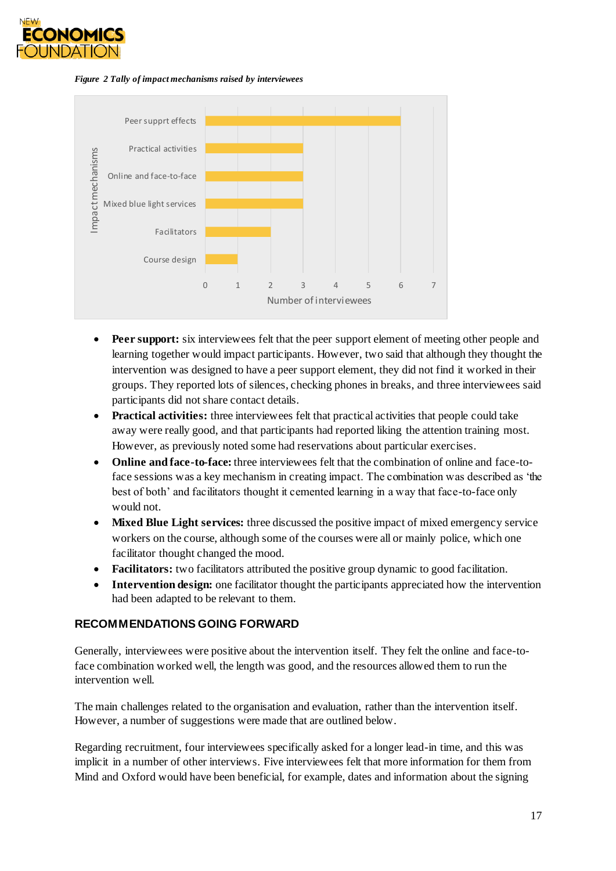

*Figure 2 Tally of impact mechanisms raised by interviewees*



- **Peer support:** six interviewees felt that the peer support element of meeting other people and learning together would impact participants. However, two said that although they thought the intervention was designed to have a peer support element, they did not find it worked in their groups. They reported lots of silences, checking phones in breaks, and three interviewees said participants did not share contact details.
- **• Practical activities:** three interviewees felt that practical activities that people could take away were really good, and that participants had reported liking the attention training most. However, as previously noted some had reservations about particular exercises.
- **Online and face-to-face:** three interviewees felt that the combination of online and face-toface sessions was a key mechanism in creating impact. The combination was described as 'the best of both' and facilitators thought it cemented learning in a way that face-to-face only would not.
- **Mixed Blue Light services:** three discussed the positive impact of mixed emergency service workers on the course, although some of the courses were all or mainly police, which one facilitator thought changed the mood.
- **Facilitators:** two facilitators attributed the positive group dynamic to good facilitation.
- **Intervention design:** one facilitator thought the participants appreciated how the intervention had been adapted to be relevant to them.

#### **RECOMMENDATIONS GOING FORWARD**

Generally, interviewees were positive about the intervention itself. They felt the online and face-toface combination worked well, the length was good, and the resources allowed them to run the intervention well.

The main challenges related to the organisation and evaluation, rather than the intervention itself. However, a number of suggestions were made that are outlined below.

Regarding recruitment, four interviewees specifically asked for a longer lead-in time, and this was implicit in a number of other interviews. Five interviewees felt that more information for them from Mind and Oxford would have been beneficial, for example, dates and information about the signing